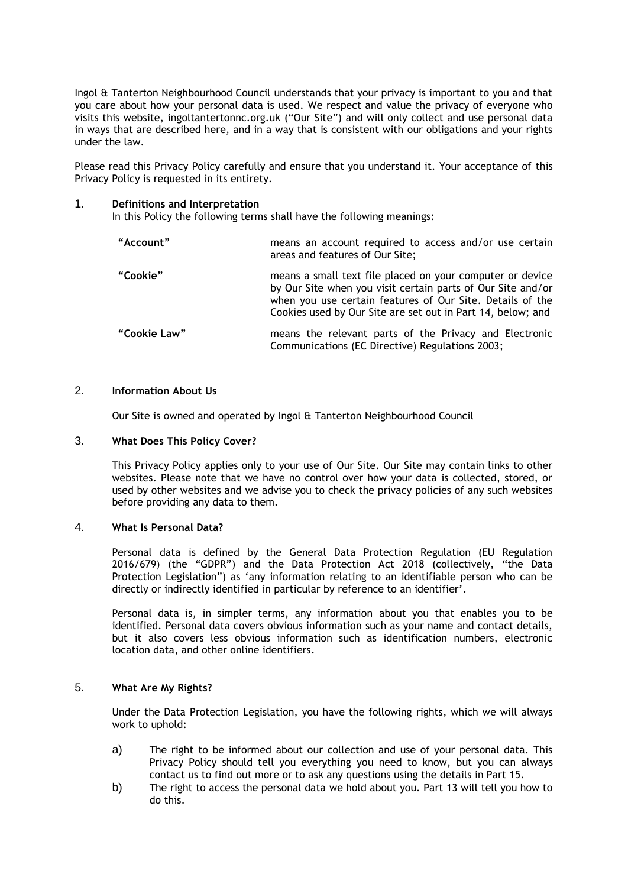Ingol & Tanterton Neighbourhood Council understands that your privacy is important to you and that you care about how your personal data is used. We respect and value the privacy of everyone who visits this website, ingoltantertonnc.org.uk ("Our Site") and will only collect and use personal data in ways that are described here, and in a way that is consistent with our obligations and your rights under the law.

Please read this Privacy Policy carefully and ensure that you understand it. Your acceptance of this Privacy Policy is requested in its entirety.

#### 1. **Definitions and Interpretation**

In this Policy the following terms shall have the following meanings:

| "Account"    | means an account required to access and/or use certain<br>areas and features of Our Site;                                                                                                                                                            |
|--------------|------------------------------------------------------------------------------------------------------------------------------------------------------------------------------------------------------------------------------------------------------|
| "Cookie"     | means a small text file placed on your computer or device<br>by Our Site when you visit certain parts of Our Site and/or<br>when you use certain features of Our Site. Details of the<br>Cookies used by Our Site are set out in Part 14, below; and |
| "Cookie Law" | means the relevant parts of the Privacy and Electronic<br>Communications (EC Directive) Regulations 2003;                                                                                                                                            |

## 2. **Information About Us**

Our Site is owned and operated by Ingol & Tanterton Neighbourhood Council

#### 3. **What Does This Policy Cover?**

This Privacy Policy applies only to your use of Our Site. Our Site may contain links to other websites. Please note that we have no control over how your data is collected, stored, or used by other websites and we advise you to check the privacy policies of any such websites before providing any data to them.

#### 4. **What Is Personal Data?**

Personal data is defined by the General Data Protection Regulation (EU Regulation 2016/679) (the "GDPR") and the Data Protection Act 2018 (collectively, "the Data Protection Legislation") as 'any information relating to an identifiable person who can be directly or indirectly identified in particular by reference to an identifier'.

Personal data is, in simpler terms, any information about you that enables you to be identified. Personal data covers obvious information such as your name and contact details, but it also covers less obvious information such as identification numbers, electronic location data, and other online identifiers.

## 5. **What Are My Rights?**

Under the Data Protection Legislation, you have the following rights, which we will always work to uphold:

- a) The right to be informed about our collection and use of your personal data. This Privacy Policy should tell you everything you need to know, but you can always contact us to find out more or to ask any questions using the details in Part 15.
- b) The right to access the personal data we hold about you. Part 13 will tell you how to do this.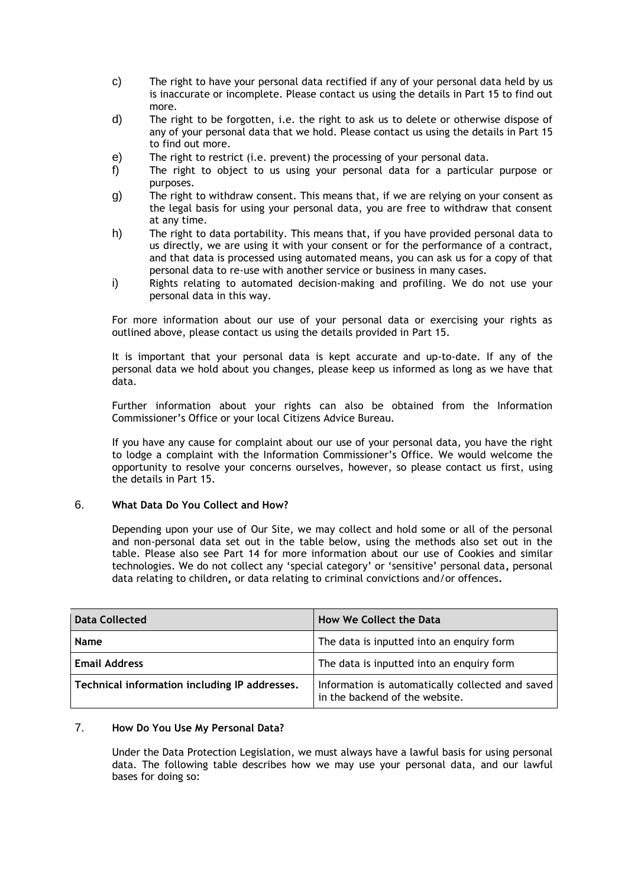- c) The right to have your personal data rectified if any of your personal data held by us is inaccurate or incomplete. Please contact us using the details in Part 15 to find out more.
- d) The right to be forgotten, i.e. the right to ask us to delete or otherwise dispose of any of your personal data that we hold. Please contact us using the details in Part 15 to find out more.
- e) The right to restrict (i.e. prevent) the processing of your personal data.
- f) The right to object to us using your personal data for a particular purpose or purposes.
- g) The right to withdraw consent. This means that, if we are relying on your consent as the legal basis for using your personal data, you are free to withdraw that consent at any time.
- h) The right to data portability. This means that, if you have provided personal data to us directly, we are using it with your consent or for the performance of a contract, and that data is processed using automated means, you can ask us for a copy of that personal data to re-use with another service or business in many cases.
- i) Rights relating to automated decision-making and profiling. We do not use your personal data in this way.

For more information about our use of your personal data or exercising your rights as outlined above, please contact us using the details provided in Part 15.

It is important that your personal data is kept accurate and up-to-date. If any of the personal data we hold about you changes, please keep us informed as long as we have that data.

Further information about your rights can also be obtained from the Information Commissioner's Office or your local Citizens Advice Bureau.

If you have any cause for complaint about our use of your personal data, you have the right to lodge a complaint with the Information Commissioner's Office. We would welcome the opportunity to resolve your concerns ourselves, however, so please contact us first, using the details in Part 15.

# 6. **What Data Do You Collect and How?**

Depending upon your use of Our Site, we may collect and hold some or all of the personal and non-personal data set out in the table below, using the methods also set out in the table. Please also see Part 14 for more information about our use of Cookies and similar technologies. We do not collect any 'special category' or 'sensitive' personal data**,** personal data relating to children**,** or data relating to criminal convictions and/or offences**.**

| <b>Data Collected</b>                         | <b>How We Collect the Data</b>                                                     |
|-----------------------------------------------|------------------------------------------------------------------------------------|
| <b>Name</b>                                   | The data is inputted into an enquiry form                                          |
| <b>Email Address</b>                          | The data is inputted into an enquiry form                                          |
| Technical information including IP addresses. | Information is automatically collected and saved<br>in the backend of the website. |

# 7. **How Do You Use My Personal Data?**

Under the Data Protection Legislation, we must always have a lawful basis for using personal data. The following table describes how we may use your personal data, and our lawful bases for doing so: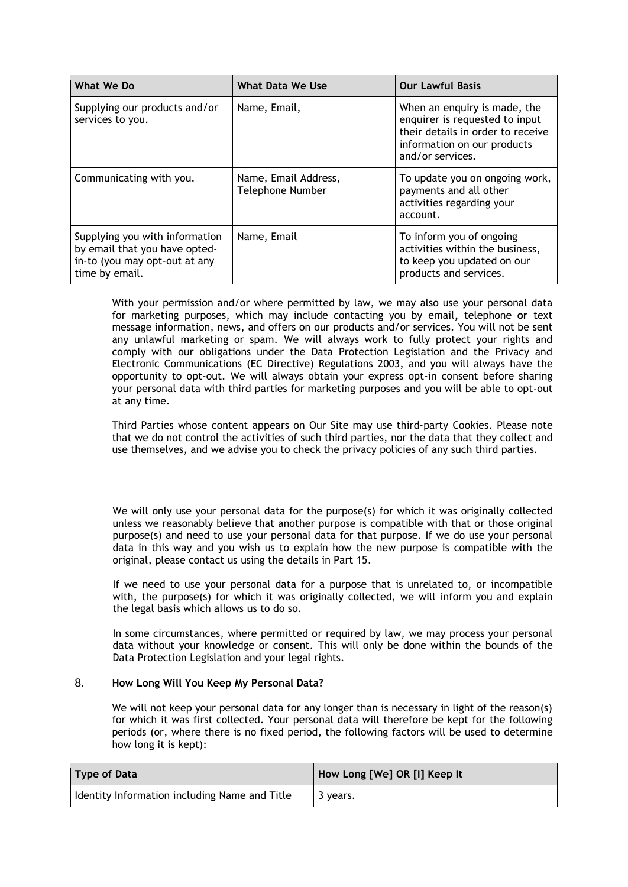| What We Do                                                                                                         | What Data We Use                         | <b>Our Lawful Basis</b>                                                                                                                                |
|--------------------------------------------------------------------------------------------------------------------|------------------------------------------|--------------------------------------------------------------------------------------------------------------------------------------------------------|
| Supplying our products and/or<br>services to you.                                                                  | Name, Email,                             | When an enquiry is made, the<br>enquirer is requested to input<br>their details in order to receive<br>information on our products<br>and/or services. |
| Communicating with you.                                                                                            | Name, Email Address,<br>Telephone Number | To update you on ongoing work,<br>payments and all other<br>activities regarding your<br>account.                                                      |
| Supplying you with information<br>by email that you have opted-<br>in-to (you may opt-out at any<br>time by email. | Name, Email                              | To inform you of ongoing<br>activities within the business,<br>to keep you updated on our<br>products and services.                                    |

With your permission and/or where permitted by law, we may also use your personal data for marketing purposes, which may include contacting you by email**,** telephone **or** text message information, news, and offers on our products and/or services. You will not be sent any unlawful marketing or spam. We will always work to fully protect your rights and comply with our obligations under the Data Protection Legislation and the Privacy and Electronic Communications (EC Directive) Regulations 2003, and you will always have the opportunity to opt-out. We will always obtain your express opt-in consent before sharing your personal data with third parties for marketing purposes and you will be able to opt-out at any time.

Third Parties whose content appears on Our Site may use third-party Cookies. Please note that we do not control the activities of such third parties, nor the data that they collect and use themselves, and we advise you to check the privacy policies of any such third parties.

We will only use your personal data for the purpose(s) for which it was originally collected unless we reasonably believe that another purpose is compatible with that or those original purpose(s) and need to use your personal data for that purpose. If we do use your personal data in this way and you wish us to explain how the new purpose is compatible with the original, please contact us using the details in Part 15.

If we need to use your personal data for a purpose that is unrelated to, or incompatible with, the purpose(s) for which it was originally collected, we will inform you and explain the legal basis which allows us to do so.

In some circumstances, where permitted or required by law, we may process your personal data without your knowledge or consent. This will only be done within the bounds of the Data Protection Legislation and your legal rights.

# 8. **How Long Will You Keep My Personal Data?**

We will not keep your personal data for any longer than is necessary in light of the reason(s) for which it was first collected. Your personal data will therefore be kept for the following periods (or, where there is no fixed period, the following factors will be used to determine how long it is kept):

| Type of Data                                    | How Long [We] OR [I] Keep It |
|-------------------------------------------------|------------------------------|
| I Identity Information including Name and Title | 3 years.                     |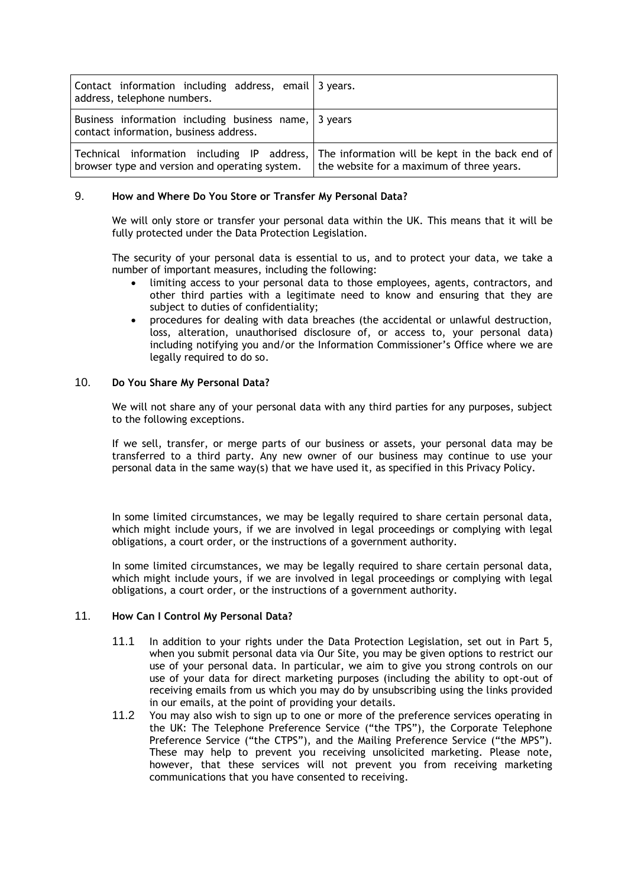| Contact information including address, email 3 years.<br>address, telephone numbers.            |                                                                                                                                          |
|-------------------------------------------------------------------------------------------------|------------------------------------------------------------------------------------------------------------------------------------------|
| Business information including business name, 3 years<br>contact information, business address. |                                                                                                                                          |
| browser type and version and operating system.                                                  | Technical information including IP address, The information will be kept in the back end of<br>the website for a maximum of three years. |

## 9. **How and Where Do You Store or Transfer My Personal Data?**

We will only store or transfer your personal data within the UK. This means that it will be fully protected under the Data Protection Legislation.

The security of your personal data is essential to us, and to protect your data, we take a number of important measures, including the following:

- limiting access to your personal data to those employees, agents, contractors, and other third parties with a legitimate need to know and ensuring that they are subject to duties of confidentiality;
- procedures for dealing with data breaches (the accidental or unlawful destruction, loss, alteration, unauthorised disclosure of, or access to, your personal data) including notifying you and/or the Information Commissioner's Office where we are legally required to do so.

## 10. **Do You Share My Personal Data?**

We will not share any of your personal data with any third parties for any purposes, subject to the following exceptions.

If we sell, transfer, or merge parts of our business or assets, your personal data may be transferred to a third party. Any new owner of our business may continue to use your personal data in the same way(s) that we have used it, as specified in this Privacy Policy.

In some limited circumstances, we may be legally required to share certain personal data, which might include yours, if we are involved in legal proceedings or complying with legal obligations, a court order, or the instructions of a government authority.

In some limited circumstances, we may be legally required to share certain personal data, which might include yours, if we are involved in legal proceedings or complying with legal obligations, a court order, or the instructions of a government authority.

# 11. **How Can I Control My Personal Data?**

- 11.1 In addition to your rights under the Data Protection Legislation, set out in Part 5, when you submit personal data via Our Site, you may be given options to restrict our use of your personal data. In particular, we aim to give you strong controls on our use of your data for direct marketing purposes (including the ability to opt-out of receiving emails from us which you may do by unsubscribing using the links provided in our emails, at the point of providing your details.
- 11.2 You may also wish to sign up to one or more of the preference services operating in the UK: The Telephone Preference Service ("the TPS"), the Corporate Telephone Preference Service ("the CTPS"), and the Mailing Preference Service ("the MPS"). These may help to prevent you receiving unsolicited marketing. Please note, however, that these services will not prevent you from receiving marketing communications that you have consented to receiving.